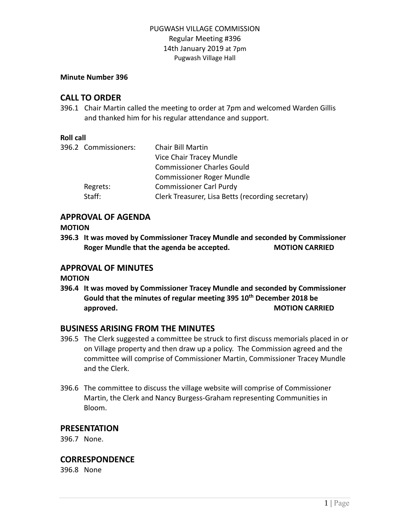## PUGWASH VILLAGE COMMISSION Regular Meeting #396 14th January 2019 at 7pm Pugwash Village Hall

#### **Minute Number 396**

# **CALL TO ORDER**

396.1 Chair Martin called the meeting to order at 7pm and welcomed Warden Gillis and thanked him for his regular attendance and support.

#### **Roll call**

| 396.2 Commissioners: | Chair Bill Martin                                 |
|----------------------|---------------------------------------------------|
|                      | Vice Chair Tracey Mundle                          |
|                      | <b>Commissioner Charles Gould</b>                 |
|                      | <b>Commissioner Roger Mundle</b>                  |
| Regrets:             | <b>Commissioner Carl Purdy</b>                    |
| Staff:               | Clerk Treasurer, Lisa Betts (recording secretary) |
|                      |                                                   |

## **APPROVAL OF AGENDA**

#### **MOTION**

**396.3 It was moved by Commissioner Tracey Mundle and seconded by Commissioner Roger Mundle that the agenda be accepted. MOTION CARRIED**

# **APPROVAL OF MINUTES**

## **MOTION**

**396.4 It was moved by Commissioner Tracey Mundle and seconded by Commissioner Gould that the minutes of regular meeting 395 10th December 2018 be approved. MOTION CARRIED**

# **BUSINESS ARISING FROM THE MINUTES**

- 396.5 The Clerk suggested a committee be struck to first discuss memorials placed in or on Village property and then draw up a policy. The Commission agreed and the committee will comprise of Commissioner Martin, Commissioner Tracey Mundle and the Clerk.
- 396.6 The committee to discuss the village website will comprise of Commissioner Martin, the Clerk and Nancy Burgess-Graham representing Communities in Bloom.

# **PRESENTATION**

396.7 None.

# **CORRESPONDENCE**

396.8 None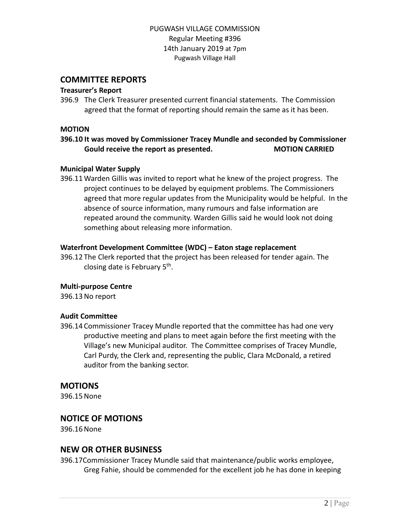## PUGWASH VILLAGE COMMISSION Regular Meeting #396 14th January 2019 at 7pm Pugwash Village Hall

## **COMMITTEE REPORTS**

#### **Treasurer's Report**

396.9 The Clerk Treasurer presented current financial statements. The Commission agreed that the format of reporting should remain the same as it has been.

#### **MOTION**

**396.10 It was moved by Commissioner Tracey Mundle and seconded by Commissioner Gould receive the report as presented. MOTION CARRIED**

#### **Municipal Water Supply**

396.11 Warden Gillis was invited to report what he knew of the project progress. The project continues to be delayed by equipment problems. The Commissioners agreed that more regular updates from the Municipality would be helpful. In the absence of source information, many rumours and false information are repeated around the community. Warden Gillis said he would look not doing something about releasing more information.

#### **Waterfront Development Committee (WDC) – Eaton stage replacement**

396.12 The Clerk reported that the project has been released for tender again. The closing date is February 5<sup>th</sup>.

#### **Multi-purpose Centre**

396.13No report

#### **Audit Committee**

396.14 Commissioner Tracey Mundle reported that the committee has had one very productive meeting and plans to meet again before the first meeting with the Village's new Municipal auditor. The Committee comprises of Tracey Mundle, Carl Purdy, the Clerk and, representing the public, Clara McDonald, a retired auditor from the banking sector.

## **MOTIONS**

396.15None

# **NOTICE OF MOTIONS**

396.16None

## **NEW OR OTHER BUSINESS**

396.17Commissioner Tracey Mundle said that maintenance/public works employee, Greg Fahie, should be commended for the excellent job he has done in keeping